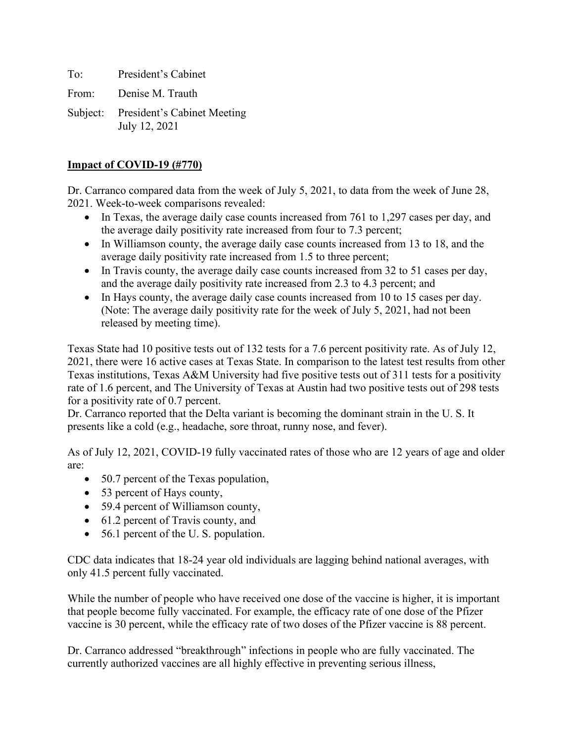To: President's Cabinet

From: Denise M. Trauth

Subject: President's Cabinet Meeting July 12, 2021

### **Impact of COVID-19 (#770)**

Dr. Carranco compared data from the week of July 5, 2021, to data from the week of June 28, 2021. Week-to-week comparisons revealed:

- In Texas, the average daily case counts increased from 761 to 1,297 cases per day, and the average daily positivity rate increased from four to 7.3 percent;
- In Williamson county, the average daily case counts increased from 13 to 18, and the average daily positivity rate increased from 1.5 to three percent;
- In Travis county, the average daily case counts increased from 32 to 51 cases per day, and the average daily positivity rate increased from 2.3 to 4.3 percent; and
- In Hays county, the average daily case counts increased from 10 to 15 cases per day. (Note: The average daily positivity rate for the week of July 5, 2021, had not been released by meeting time).

Texas State had 10 positive tests out of 132 tests for a 7.6 percent positivity rate. As of July 12, 2021, there were 16 active cases at Texas State. In comparison to the latest test results from other Texas institutions, Texas A&M University had five positive tests out of 311 tests for a positivity rate of 1.6 percent, and The University of Texas at Austin had two positive tests out of 298 tests for a positivity rate of 0.7 percent.

Dr. Carranco reported that the Delta variant is becoming the dominant strain in the U. S. It presents like a cold (e.g., headache, sore throat, runny nose, and fever).

As of July 12, 2021, COVID-19 fully vaccinated rates of those who are 12 years of age and older are:

- 50.7 percent of the Texas population,
- 53 percent of Hays county,
- 59.4 percent of Williamson county,
- 61.2 percent of Travis county, and
- 56.1 percent of the U.S. population.

CDC data indicates that 18-24 year old individuals are lagging behind national averages, with only 41.5 percent fully vaccinated.

While the number of people who have received one dose of the vaccine is higher, it is important that people become fully vaccinated. For example, the efficacy rate of one dose of the Pfizer vaccine is 30 percent, while the efficacy rate of two doses of the Pfizer vaccine is 88 percent.

Dr. Carranco addressed "breakthrough" infections in people who are fully vaccinated. The currently authorized vaccines are all highly effective in preventing serious illness,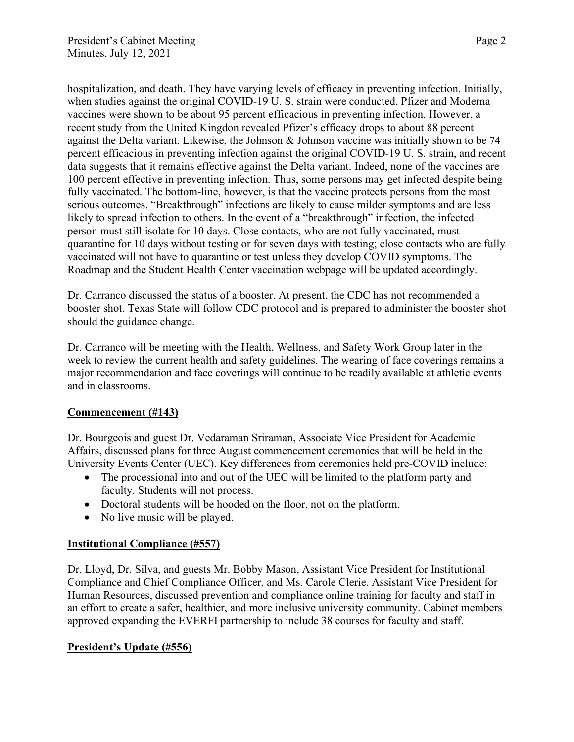hospitalization, and death. They have varying levels of efficacy in preventing infection. Initially, when studies against the original COVID-19 U. S. strain were conducted, Pfizer and Moderna vaccines were shown to be about 95 percent efficacious in preventing infection. However, a recent study from the United Kingdon revealed Pfizer's efficacy drops to about 88 percent against the Delta variant. Likewise, the Johnson & Johnson vaccine was initially shown to be 74 percent efficacious in preventing infection against the original COVID-19 U. S. strain, and recent data suggests that it remains effective against the Delta variant. Indeed, none of the vaccines are 100 percent effective in preventing infection. Thus, some persons may get infected despite being fully vaccinated. The bottom-line, however, is that the vaccine protects persons from the most serious outcomes. "Breakthrough" infections are likely to cause milder symptoms and are less likely to spread infection to others. In the event of a "breakthrough" infection, the infected person must still isolate for 10 days. Close contacts, who are not fully vaccinated, must quarantine for 10 days without testing or for seven days with testing; close contacts who are fully vaccinated will not have to quarantine or test unless they develop COVID symptoms. The Roadmap and the Student Health Center vaccination webpage will be updated accordingly.

Dr. Carranco discussed the status of a booster. At present, the CDC has not recommended a booster shot. Texas State will follow CDC protocol and is prepared to administer the booster shot should the guidance change.

Dr. Carranco will be meeting with the Health, Wellness, and Safety Work Group later in the week to review the current health and safety guidelines. The wearing of face coverings remains a major recommendation and face coverings will continue to be readily available at athletic events and in classrooms.

## **Commencement (#143)**

Dr. Bourgeois and guest Dr. Vedaraman Sriraman, Associate Vice President for Academic Affairs, discussed plans for three August commencement ceremonies that will be held in the University Events Center (UEC). Key differences from ceremonies held pre-COVID include:

- The processional into and out of the UEC will be limited to the platform party and faculty. Students will not process.
- Doctoral students will be hooded on the floor, not on the platform.
- No live music will be played.

## **Institutional Compliance (#557)**

Dr. Lloyd, Dr. Silva, and guests Mr. Bobby Mason, Assistant Vice President for Institutional Compliance and Chief Compliance Officer, and Ms. Carole Clerie, Assistant Vice President for Human Resources, discussed prevention and compliance online training for faculty and staff in an effort to create a safer, healthier, and more inclusive university community. Cabinet members approved expanding the EVERFI partnership to include 38 courses for faculty and staff.

## **President's Update (#556)**